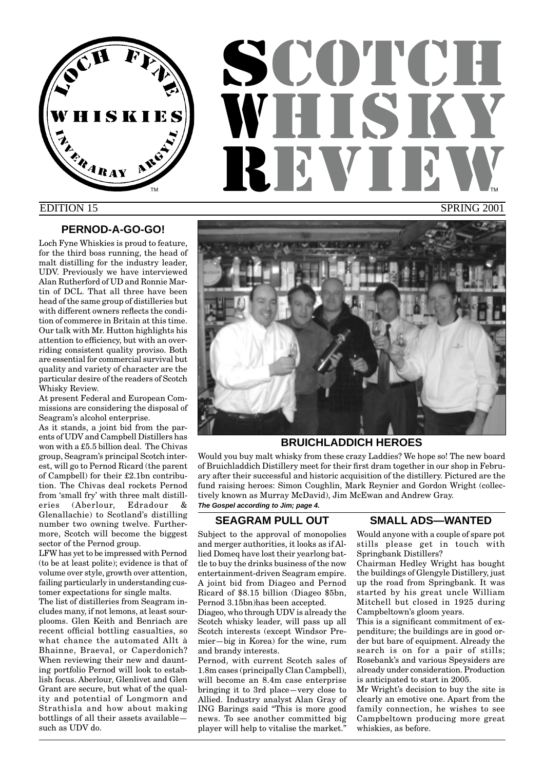

# **SCOTCH** WHISKY REVI SPRING 2001 TM **THE REPORT OF STATE OF STATE OF STATE OF STATE OF STATE OF STATE OF STATE OF STATE OF STATE OF STATE OF STATE OF STATE OF STATE OF STATE OF STATE OF STATE OF STATE OF STATE OF STATE OF STATE OF STATE OF STATE OF STATE**

## EDITION 15

## **PERNOD-A-GO-GO!**

Loch Fyne Whiskies is proud to feature, for the third boss running, the head of malt distilling for the industry leader, UDV. Previously we have interviewed Alan Rutherford of UD and Ronnie Martin of DCL. That all three have been head of the same group of distilleries but with different owners reflects the condition of commerce in Britain at this time. Our talk with Mr. Hutton highlights his attention to efficiency, but with an overriding consistent quality proviso. Both are essential for commercial survival but quality and variety of character are the particular desire of the readers of Scotch Whisky Review.

At present Federal and European Commissions are considering the disposal of Seagram's alcohol enterprise.

As it stands, a joint bid from the parents of UDV and Campbell Distillers has won with a £5.5 billion deal. The Chivas group, Seagram's principal Scotch interest, will go to Pernod Ricard (the parent of Campbell) for their £2.1bn contribution. The Chivas deal rockets Pernod from 'small fry' with three malt distilleries (Aberlour, Edradour & Glenallachie) to Scotland's distilling number two owning twelve. Furthermore, Scotch will become the biggest sector of the Pernod group.

LFW has yet to be impressed with Pernod (to be at least polite); evidence is that of volume over style, growth over attention, failing particularly in understanding customer expectations for single malts.

The list of distilleries from Seagram includes many, if not lemons, at least sourplooms. Glen Keith and Benriach are recent official bottling casualties, so what chance the automated Allt à Bhainne, Braeval, or Caperdonich? When reviewing their new and daunting portfolio Pernod will look to establish focus. Aberlour, Glenlivet and Glen Grant are secure, but what of the quality and potential of Longmorn and Strathisla and how about making bottlings of all their assets available such as UDV do.

## **BRUICHLADDICH HEROES**

Would you buy malt whisky from these crazy Laddies? We hope so! The new board of Bruichladdich Distillery meet for their first dram together in our shop in February after their successful and historic acquisition of the distillery. Pictured are the fund raising heroes: Simon Coughlin, Mark Reynier and Gordon Wright (collectively known as Murray McDavid), Jim McEwan and Andrew Gray.

**The Gospel according to Jim; page 4.**

## **SEAGRAM PULL OUT**

Subject to the approval of monopolies and merger authorities, it looks as if Allied Domeq have lost their yearlong battle to buy the drinks business of the now entertainment-driven Seagram empire. A joint bid from Diageo and Pernod Ricard of \$8.15 billion (Diageo \$5bn, Pernod 3.15bn)has been accepted.

Diageo, who through UDV is already the Scotch whisky leader, will pass up all Scotch interests (except Windsor Premier—big in Korea) for the wine, rum and brandy interests.

Pernod, with current Scotch sales of 1.8m cases (principally Clan Campbell), will become an 8.4m case enterprise bringing it to 3rd place—very close to Allied. Industry analyst Alan Gray of ING Barings said "This is more good news. To see another committed big player will help to vitalise the market."

## **SMALL ADS—WANTED**

Would anyone with a couple of spare pot stills please get in touch with Springbank Distillers?

Chairman Hedley Wright has bought the buildings of Glengyle Distillery, just up the road from Springbank. It was started by his great uncle William Mitchell but closed in 1925 during Campbeltown's gloom years.

This is a significant commitment of expenditure; the buildings are in good order but bare of equipment. Already the search is on for a pair of stills; Rosebank's and various Speysiders are already under consideration. Production is anticipated to start in 2005.

Mr Wright's decision to buy the site is clearly an emotive one. Apart from the family connection, he wishes to see Campbeltown producing more great whiskies, as before.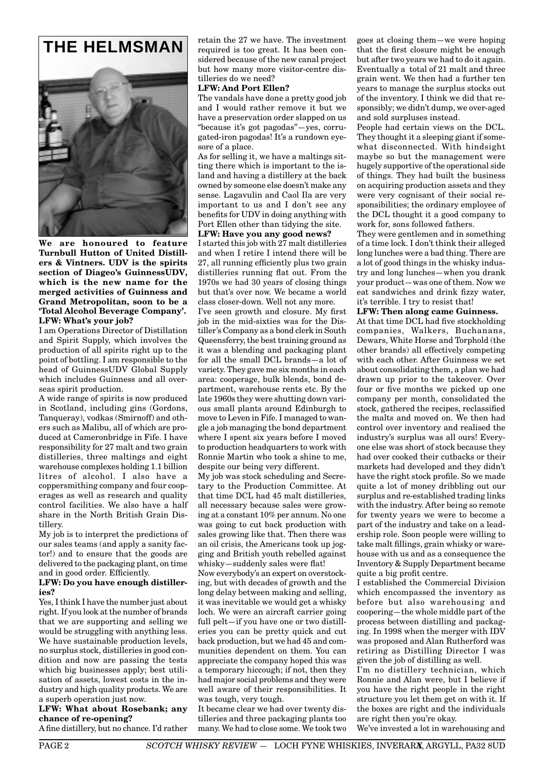



**We are honoured to feature Turnbull Hutton of United Distillers & Vintners. UDV is the spirits section of Diageo's GuinnessUDV, which is the new name for the merged activities of Guinness and Grand Metropolitan, soon to be a 'Total Alcohol Beverage Company'. LFW: What's your job?**

I am Operations Director of Distillation and Spirit Supply, which involves the production of all spirits right up to the point of bottling. I am responsible to the head of GuinnessUDV Global Supply which includes Guinness and all overseas spirit production.

A wide range of spirits is now produced in Scotland, including gins (Gordons, Tanqueray), vodkas (Smirnoff) and others such as Malibu, all of which are produced at Cameronbridge in Fife. I have responsibility for 27 malt and two grain distilleries, three maltings and eight warehouse complexes holding 1.1 billion litres of alcohol. I also have a coppersmithing company and four cooperages as well as research and quality control facilities. We also have a half share in the North British Grain Distillery.

My job is to interpret the predictions of our sales teams (and apply a sanity factor!) and to ensure that the goods are delivered to the packaging plant, on time and in good order. Efficiently.

#### **LFW: Do you have enough distilleries?**

Yes, I think I have the number just about right. If you look at the number of brands that we are supporting and selling we would be struggling with anything less. We have sustainable production levels, no surplus stock, distilleries in good condition and now are passing the tests which big businesses apply; best utilisation of assets, lowest costs in the industry and high quality products. We are a superb operation just now.

#### **LFW: What about Rosebank; any chance of re-opening?**

A fine distillery, but no chance. I'd rather

retain the 27 we have. The investment required is too great. It has been considered because of the new canal project but how many more visitor-centre distilleries do we need?

#### **LFW: And Port Ellen?**

The vandals have done a pretty good job and I would rather remove it but we have a preservation order slapped on us "because it's got pagodas"—yes, corrugated-iron pagodas! It's a rundown eyesore of a place.

As for selling it, we have a maltings sitting there which is important to the island and having a distillery at the back owned by someone else doesn't make any sense. Lagavulin and Caol Ila are very important to us and I don't see any benefits for UDV in doing anything with Port Ellen other than tidying the site.

#### **LFW: Have you any good news?**

I started this job with 27 malt distilleries and when I retire I intend there will be 27, all running efficiently plus two grain distilleries running flat out. From the 1970s we had 30 years of closing things but that's over now. We became a world class closer-down. Well not any more.

I've seen growth and closure. My first job in the mid-sixties was for the Distiller's Company as a bond clerk in South Queensferry, the best training ground as it was a blending and packaging plant for all the small DCL brands—a lot of variety. They gave me six months in each area: cooperage, bulk blends, bond department, warehouse rents etc. By the late 1960s they were shutting down various small plants around Edinburgh to move to Leven in Fife. I managed to wangle a job managing the bond department where I spent six years before I moved to production headquarters to work with Ronnie Martin who took a shine to me, despite our being very different.

My job was stock scheduling and Secretary to the Production Committee. At that time DCL had 45 malt distilleries, all necessary because sales were growing at a constant 10% per annum. No one was going to cut back production with sales growing like that. Then there was an oil crisis, the Americans took up jogging and British youth rebelled against whisky—suddenly sales were flat!

Now everybody's an expert on overstocking, but with decades of growth and the long delay between making and selling, it was inevitable we would get a whisky loch. We were an aircraft carrier going full pelt—if you have one or two distilleries you can be pretty quick and cut back production, but we had 45 and communities dependent on them. You can appreciate the company hoped this was a temporary hiccough; if not, then they had major social problems and they were well aware of their responsibilities. It was tough, very tough.

It became clear we had over twenty distilleries and three packaging plants too many. We had to close some. We took two goes at closing them—we were hoping that the first closure might be enough but after two years we had to do it again. Eventually a total of 21 malt and three grain went. We then had a further ten years to manage the surplus stocks out of the inventory. I think we did that responsibly; we didn't dump, we over-aged and sold surpluses instead.

People had certain views on the DCL. They thought it a sleeping giant if somewhat disconnected. With hindsight maybe so but the management were hugely supportive of the operational side of things. They had built the business on acquiring production assets and they were very cognisant of their social responsibilities; the ordinary employee of the DCL thought it a good company to work for, sons followed fathers.

They were gentlemen and in something of a time lock. I don't think their alleged long lunches were a bad thing. There are a lot of good things in the whisky industry and long lunches—when you drank your product—was one of them. Now we eat sandwiches and drink fizzy water, it's terrible. I try to resist that!

#### **LFW: Then along came Guinness.**

At that time DCL had five stockholding companies, Walkers, Buchanans, Dewars, White Horse and Torphold (the other brands) all effectively competing with each other. After Guinness we set about consolidating them, a plan we had drawn up prior to the takeover. Over four or five months we picked up one company per month, consolidated the stock, gathered the recipes, reclassified the malts and moved on. We then had control over inventory and realised the industry's surplus was all ours! Everyone else was short of stock because they had over cooked their cutbacks or their markets had developed and they didn't have the right stock profile. So we made quite a lot of money dribbling out our surplus and re-established trading links with the industry. After being so remote for twenty years we were to become a part of the industry and take on a leadership role. Soon people were willing to take malt fillings, grain whisky or warehouse with us and as a consequence the Inventory & Supply Department became quite a big profit centre.

I established the Commercial Division which encompassed the inventory as before but also warehousing and coopering—the whole middle part of the process between distilling and packaging. In 1998 when the merger with IDV was proposed and Alan Rutherford was retiring as Distilling Director I was given the job of distilling as well.

I'm no distillery technician, which Ronnie and Alan were, but I believe if you have the right people in the right structure you let them get on with it. If the boxes are right and the individuals are right then you're okay.

We've invested a lot in warehousing and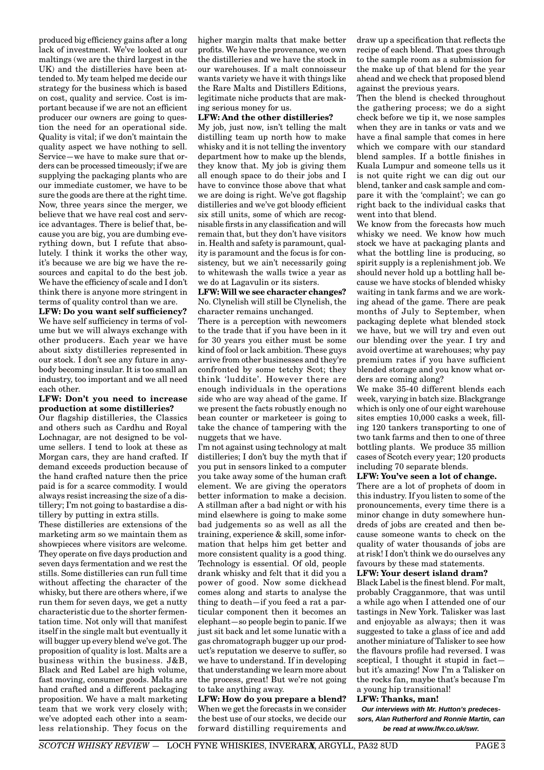produced big efficiency gains after a long lack of investment. We've looked at our maltings (we are the third largest in the UK) and the distilleries have been attended to. My team helped me decide our strategy for the business which is based on cost, quality and service. Cost is important because if we are not an efficient producer our owners are going to question the need for an operational side. Quality is vital; if we don't maintain the quality aspect we have nothing to sell. Service—we have to make sure that orders can be processed timeously; if we are supplying the packaging plants who are our immediate customer, we have to be sure the goods are there at the right time. Now, three years since the merger, we believe that we have real cost and service advantages. There is belief that, because you are big, you are dumbing everything down, but I refute that absolutely. I think it works the other way, it's because we are big we have the resources and capital to do the best job. We have the efficiency of scale and I don't think there is anyone more stringent in terms of quality control than we are.

**LFW: Do you want self sufficiency?** We have self sufficiency in terms of volume but we will always exchange with other producers. Each year we have about sixty distilleries represented in our stock. I don't see any future in anybody becoming insular. It is too small an industry, too important and we all need each other.

#### **LFW: Don't you need to increase production at some distilleries?**

Our flagship distilleries, the Classics and others such as Cardhu and Royal Lochnagar, are not designed to be volume sellers. I tend to look at these as Morgan cars, they are hand crafted. If demand exceeds production because of the hand crafted nature then the price paid is for a scarce commodity. I would always resist increasing the size of a distillery; I'm not going to bastardise a distillery by putting in extra stills.

These distilleries are extensions of the marketing arm so we maintain them as showpieces where visitors are welcome. They operate on five days production and seven days fermentation and we rest the stills. Some distilleries can run full time without affecting the character of the whisky, but there are others where, if we run them for seven days, we get a nutty characteristic due to the shorter fermentation time. Not only will that manifest itself in the single malt but eventually it will bugger up every blend we've got. The proposition of quality is lost. Malts are a business within the business. J&B, Black and Red Label are high volume, fast moving, consumer goods. Malts are hand crafted and a different packaging proposition. We have a malt marketing team that we work very closely with; we've adopted each other into a seamless relationship. They focus on the higher margin malts that make better profits. We have the provenance, we own the distilleries and we have the stock in our warehouses. If a malt connoisseur wants variety we have it with things like the Rare Malts and Distillers Editions, legitimate niche products that are making serious money for us.

#### **LFW: And the other distilleries?**

My job, just now, isn't telling the malt distilling team up north how to make whisky and it is not telling the inventory department how to make up the blends, they know that. My job is giving them all enough space to do their jobs and I have to convince those above that what we are doing is right. We've got flagship distilleries and we've got bloody efficient six still units, some of which are recognisable firsts in any classification and will remain that, but they don't have visitors in. Health and safety is paramount, quality is paramount and the focus is for consistency, but we ain't necessarily going to whitewash the walls twice a year as we do at Lagavulin or its sisters.

#### **LFW: Will we see character changes?** No. Clynelish will still be Clynelish, the character remains unchanged.

There is a perception with newcomers to the trade that if you have been in it for 30 years you either must be some kind of fool or lack ambition. These guys arrive from other businesses and they're confronted by some tetchy Scot; they think 'luddite'. However there are enough individuals in the operations side who are way ahead of the game. If we present the facts robustly enough no bean counter or marketeer is going to take the chance of tampering with the nuggets that we have.

I'm not against using technology at malt distilleries; I don't buy the myth that if you put in sensors linked to a computer you take away some of the human craft element. We are giving the operators better information to make a decision. A stillman after a bad night or with his mind elsewhere is going to make some bad judgements so as well as all the training, experience & skill, some information that helps him get better and more consistent quality is a good thing. Technology is essential. Of old, people drank whisky and felt that it did you a power of good. Now some dickhead comes along and starts to analyse the thing to death—if you feed a rat a particular component then it becomes an elephant—so people begin to panic. If we just sit back and let some lunatic with a gas chromatograph bugger up our product's reputation we deserve to suffer, so we have to understand. If in developing that understanding we learn more about the process, great! But we're not going to take anything away.

**LFW: How do you prepare a blend?** When we get the forecasts in we consider the best use of our stocks, we decide our forward distilling requirements and

draw up a specification that reflects the recipe of each blend. That goes through to the sample room as a submission for the make up of that blend for the year ahead and we check that proposed blend against the previous years.

Then the blend is checked throughout the gathering process; we do a sight check before we tip it, we nose samples when they are in tanks or vats and we have a final sample that comes in here which we compare with our standard blend samples. If a bottle finishes in Kuala Lumpur and someone tells us it is not quite right we can dig out our blend, tanker and cask sample and compare it with the 'complaint'; we can go right back to the individual casks that went into that blend.

We know from the forecasts how much whisky we need. We know how much stock we have at packaging plants and what the bottling line is producing, so spirit supply is a replenishment job. We should never hold up a bottling hall because we have stocks of blended whisky waiting in tank farms and we are working ahead of the game. There are peak months of July to September, when packaging deplete what blended stock we have, but we will try and even out our blending over the year. I try and avoid overtime at warehouses; why pay premium rates if you have sufficient blended storage and you know what orders are coming along?

We make 35-40 different blends each week, varying in batch size. Blackgrange which is only one of our eight warehouse sites empties 10,000 casks a week, filling 120 tankers transporting to one of two tank farms and then to one of three bottling plants. We produce 35 million cases of Scotch every year; 120 products including 70 separate blends.

#### **LFW: You've seen a lot of change.**

There are a lot of prophets of doom in this industry. If you listen to some of the pronouncements, every time there is a minor change in duty somewhere hundreds of jobs are created and then because someone wants to check on the quality of water thousands of jobs are at risk! I don't think we do ourselves any favours by these mad statements.

#### **LFW: Your desert island dram?**

Black Label is the finest blend. For malt, probably Cragganmore, that was until a while ago when I attended one of our tastings in New York. Talisker was last and enjoyable as always; then it was suggested to take a glass of ice and add another miniature of Talisker to see how the flavours profile had reversed. I was sceptical, I thought it stupid in fact but it's amazing! Now I'm a Talisker on the rocks fan, maybe that's because I'm a young hip transitional!

#### **LFW: Thanks, man!**

**Our interviews with Mr. Hutton's predecessors, Alan Rutherford and Ronnie Martin, can be read at www.lfw.co.uk/swr.**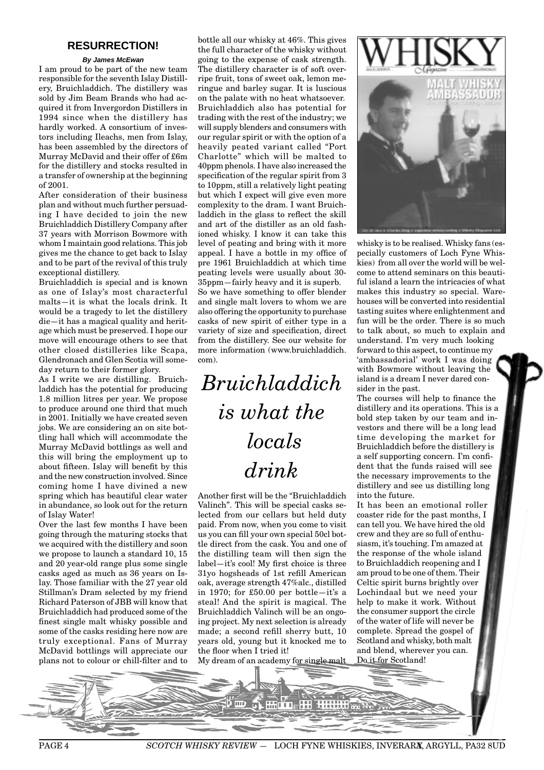## **RESURRECTION!**

#### **By James McEwan**

I am proud to be part of the new team responsible for the seventh Islay Distillery, Bruichladdich. The distillery was sold by Jim Beam Brands who had acquired it from Invergordon Distillers in 1994 since when the distillery has hardly worked. A consortium of investors including Ileachs, men from Islay, has been assembled by the directors of Murray McDavid and their offer of £6m for the distillery and stocks resulted in a transfer of ownership at the beginning of 2001.

After consideration of their business plan and without much further persuading I have decided to join the new Bruichladdich Distillery Company after 37 years with Morrison Bowmore with whom I maintain good relations. This job gives me the chance to get back to Islay and to be part of the revival of this truly exceptional distillery.

Bruichladdich is special and is known as one of Islay's most characterful malts—it is what the locals drink. It would be a tragedy to let the distillery die—it has a magical quality and heritage which must be preserved. I hope our move will encourage others to see that other closed distilleries like Scapa, Glendronach and Glen Scotia will someday return to their former glory.

As I write we are distilling. Bruichladdich has the potential for producing 1.8 million litres per year. We propose to produce around one third that much in 2001. Initially we have created seven jobs. We are considering an on site bottling hall which will accommodate the Murray McDavid bottlings as well and this will bring the employment up to about fifteen. Islay will benefit by this and the new construction involved. Since coming home I have divined a new spring which has beautiful clear water in abundance, so look out for the return of Islay Water!

Over the last few months I have been going through the maturing stocks that we acquired with the distillery and soon we propose to launch a standard 10, 15 and 20 year-old range plus some single casks aged as much as 36 years on Islay. Those familiar with the 27 year old Stillman's Dram selected by my friend Richard Paterson of JBB will know that Bruichladdich had produced some of the finest single malt whisky possible and some of the casks residing here now are truly exceptional. Fans of Murray McDavid bottlings will appreciate our plans not to colour or chill-filter and to bottle all our whisky at 46%. This gives the full character of the whisky without going to the expense of cask strength. The distillery character is of soft overripe fruit, tons of sweet oak, lemon meringue and barley sugar. It is luscious on the palate with no heat whatsoever. Bruichladdich also has potential for trading with the rest of the industry; we will supply blenders and consumers with our regular spirit or with the option of a heavily peated variant called "Port Charlotte" which will be malted to 40ppm phenols. I have also increased the specification of the regular spirit from 3 to 10ppm, still a relatively light peating but which I expect will give even more complexity to the dram. I want Bruichladdich in the glass to reflect the skill and art of the distiller as an old fashioned whisky. I know it can take this level of peating and bring with it more appeal. I have a bottle in my office of pre 1961 Bruichladdich at which time peating levels were usually about 30- 35ppm—fairly heavy and it is superb. So we have something to offer blender and single malt lovers to whom we are

also offering the opportunity to purchase casks of new spirit of either type in a variety of size and specification, direct from the distillery. See our website for more information (www.bruichladdich. com).

*Bruichladdich is what the locals drink*

Another first will be the "Bruichladdich Valinch". This will be special casks selected from our cellars but held duty paid. From now, when you come to visit us you can fill your own special 50cl bottle direct from the cask. You and one of the distilling team will then sign the label—it's cool! My first choice is three 31yo hogsheads of 1st refill American oak, average strength 47%alc., distilled in 1970; for £50.00 per bottle—it's a steal! And the spirit is magical. The Bruichladdich Valinch will be an ongoing project. My next selection is already made; a second refill sherry butt, 10 years old, young but it knocked me to the floor when I tried it!

My dream of an academy for single malt



whisky is to be realised. Whisky fans (especially customers of Loch Fyne Whiskies) from all over the world will be welcome to attend seminars on this beautiful island a learn the intricacies of what makes this industry so special. Warehouses will be converted into residential tasting suites where enlightenment and fun will be the order. There is so much to talk about, so much to explain and understand. I'm very much looking forward to this aspect, to continue my 'ambassadorial' work I was doing with Bowmore without leaving the island is a dream I never dared consider in the past.

The courses will help to finance the distillery and its operations. This is a bold step taken by our team and investors and there will be a long lead time developing the market for Bruichladdich before the distillery is a self supporting concern. I'm confident that the funds raised will see the necessary improvements to the distillery and see us distilling long into the future.

It has been an emotional roller coaster ride for the past months, I can tell you. We have hired the old crew and they are so full of enthusiasm, it's touching. I'm amazed at the response of the whole island to Bruichladdich reopening and I am proud to be one of them. Their Celtic spirit burns brightly over Lochindaal but we need your help to make it work. Without the consumer support the circle of the water of life will never be complete. Spread the gospel of Scotland and whisky, both malt and blend, wherever you can. Do it for Scotland!



PAGE 4 *SCOTCH WHISKY REVIEW* - LOCH FYNE WHISKIES, INVERARA, ARGYLL, PA32 8UD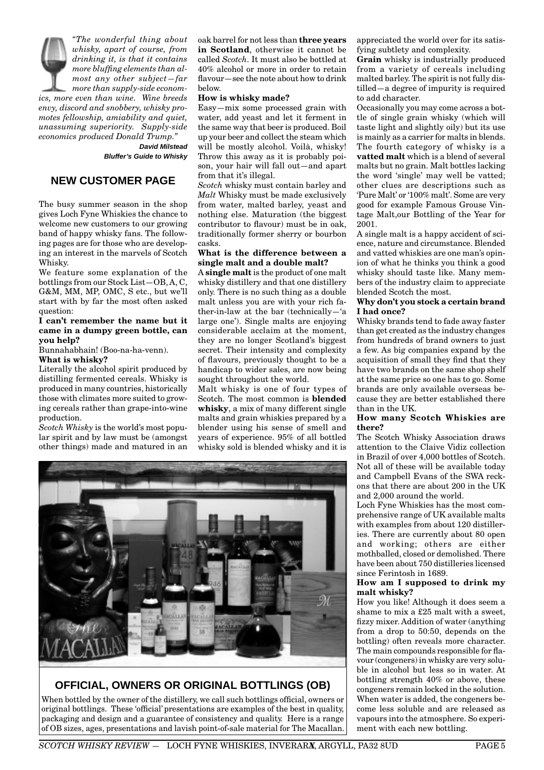*"The wonderful thing about whisky, apart of course, from drinking it, is that it contains more bluffing elements than almost any other subject—far more than supply-side economics, more even than wine. Wine breeds envy, discord and snobbery, whisky promotes fellowship, amiability and quiet, unassuming superiority. Supply-side economics produced Donald Trump."*  **David Milstead**

**Bluffer's Guide to Whisky**

## **NEW CUSTOMER PAGE**

The busy summer season in the shop gives Loch Fyne Whiskies the chance to welcome new customers to our growing band of happy whisky fans. The following pages are for those who are developing an interest in the marvels of Scotch Whisky.

We feature some explanation of the bottlings from our Stock List—OB, A, C, G&M, MM, MP, OMC, S etc., but we'll start with by far the most often asked question:

#### **I can't remember the name but it came in a dumpy green bottle, can you help?**

Bunnahabhain! (Boo-na-ha-venn). **What is whisky?**

Literally the alcohol spirit produced by distilling fermented cereals. Whisky is produced in many countries, historically those with climates more suited to growing cereals rather than grape-into-wine production.

*Scotch Whisky* is the world's most popular spirit and by law must be (amongst other things) made and matured in an oak barrel for not less than **three years in Scotland**, otherwise it cannot be called *Scotch.* It must also be bottled at 40% alcohol or more in order to retain flavour—see the note about how to drink below.

#### **How is whisky made?**

Easy—mix some processed grain with water, add yeast and let it ferment in the same way that beer is produced. Boil up your beer and collect the steam which will be mostly alcohol. Voilà, whisky! Throw this away as it is probably poison, your hair will fall out—and apart from that it's illegal.

*Scotch* whisky must contain barley and *Malt* Whisky must be made exclusively from water, malted barley, yeast and nothing else. Maturation (the biggest contributor to flavour) must be in oak, traditionally former sherry or bourbon casks.

#### **What is the difference between a single malt and a double malt?**

A **single malt** is the product of one malt whisky distillery and that one distillery only. There is no such thing as a double malt unless you are with your rich father-in-law at the bar (technically—'a large one'). Single malts are enjoying considerable acclaim at the moment, they are no longer Scotland's biggest secret. Their intensity and complexity of flavours, previously thought to be a handicap to wider sales, are now being sought throughout the world.

Malt whisky is one of four types of Scotch. The most common is **blended whisky**, a mix of many different single malts and grain whiskies prepared by a blender using his sense of smell and years of experience. 95% of all bottled whisky sold is blended whisky and it is



## **OFFICIAL, OWNERS OR ORIGINAL BOTTLINGS (OB)**

When bottled by the owner of the distillery, we call such bottlings official, owners or original bottlings. These 'official' presentations are examples of the best in quality, packaging and design and a guarantee of consistency and quality. Here is a range of OB sizes, ages, presentations and lavish point-of-sale material for The Macallan. appreciated the world over for its satisfying subtlety and complexity.

**Grain** whisky is industrially produced from a variety of cereals including malted barley. The spirit is not fully distilled—a degree of impurity is required to add character.

Occasionally you may come across a bottle of single grain whisky (which will taste light and slightly oily) but its use is mainly as a carrier for malts in blends. The fourth category of whisky is a **vatted malt** which is a blend of several malts but no grain. Malt bottles lacking the word 'single' may well be vatted; other clues are descriptions such as 'Pure Malt' or '100% malt'. Some are very good for example Famous Grouse Vintage Malt,our Bottling of the Year for 2001.

A single malt is a happy accident of science, nature and circumstance. Blended and vatted whiskies are one man's opinion of what he thinks you think a good whisky should taste like. Many members of the industry claim to appreciate blended Scotch the most.

#### **Why don't you stock a certain brand I had once?**

Whisky brands tend to fade away faster than get created as the industry changes from hundreds of brand owners to just a few. As big companies expand by the acquisition of small they find that they have two brands on the same shop shelf at the same price so one has to go. Some brands are only available overseas because they are better established there than in the UK.

#### **How many Scotch Whiskies are there?**

The Scotch Whisky Association draws attention to the Claive Vidiz collection in Brazil of over 4,000 bottles of Scotch. Not all of these will be available today and Campbell Evans of the SWA reckons that there are about 200 in the UK and 2,000 around the world.

Loch Fyne Whiskies has the most comprehensive range of UK available malts with examples from about 120 distilleries. There are currently about 80 open and working; others are either mothballed, closed or demolished. There have been about 750 distilleries licensed since Ferintosh in 1689.

#### **How am I supposed to drink my malt whisky?**

How you like! Although it does seem a shame to mix a £25 malt with a sweet, fizzy mixer. Addition of water (anything from a drop to 50:50, depends on the bottling) often reveals more character. The main compounds responsible for flavour (congeners) in whisky are very soluble in alcohol but less so in water. At bottling strength 40% or above, these congeners remain locked in the solution. When water is added, the congeners become less soluble and are released as vapours into the atmosphere. So experiment with each new bottling.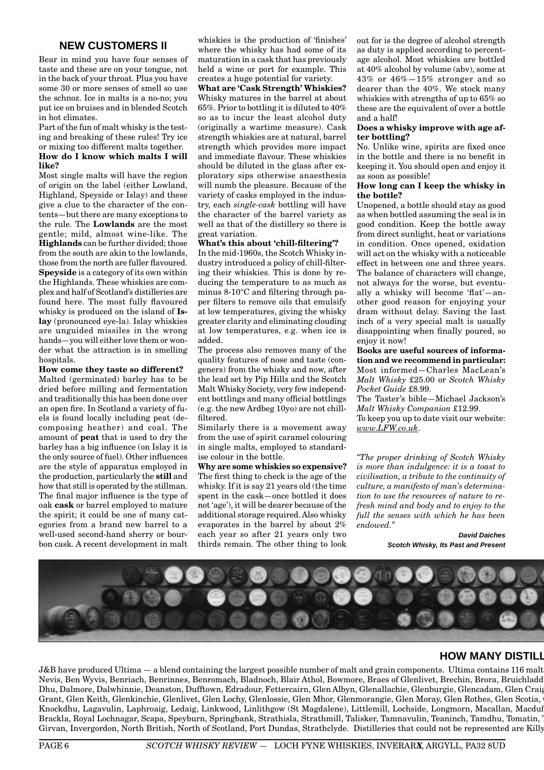## **NEW CUSTOMERS II**

Bear in mind you have four senses of taste and these are on your tongue, not in the back of your throat. Plus you have some 30 or more senses of smell so use the schnoz. Ice in malts is a no-no; you put ice on bruises and in blended Scotch in hot climates.

Part of the fun of malt whisky is the testing and breaking of these rules! Try ice or mixing too different malts together. **How do I know which malts I will like?**

Most single malts will have the region of origin on the label (either Lowland, Highland, Speyside or Islay) and these give a clue to the character of the contents—but there are many exceptions to the rule. The **Lowlands** are the most gentle; mild, almost wine-like. The **Highlands** can be further divided; those from the south are akin to the lowlands, those from the north are fuller flavoured. **Speyside** is a category of its own within the Highlands. These whiskies are complex and half of Scotland's distilleries are found here. The most fully flavoured whisky is produced on the island of **Islay** (pronounced eye-la). Islay whiskies are unguided missiles in the wrong hands—you will either love them or wonder what the attraction is in smelling hospitals.

#### **How come they taste so different?**

Malted (germinated) barley has to be dried before milling and fermentation and traditionally this has been done over an open fire. In Scotland a variety of fuels is found locally including peat (decomposing heather) and coal. The amount of **peat** that is used to dry the barley has a big influence (on Islay it is the only source of fuel). Other influences are the style of apparatus employed in the production, particularly the **still** and how that still is operated by the stillman. The final major influence is the type of oak **cask** or barrel employed to mature the spirit; it could be one of many categories from a brand new barrel to a well-used second-hand sherry or bourbon cask. A recent development in malt

whiskies is the production of 'finishes' where the whisky has had some of its maturation in a cask that has previously held a wine or port for example. This creates a huge potential for variety.

### **What are 'Cask Strength' Whiskies?**

Whisky matures in the barrel at about 65%. Prior to bottling it is diluted to 40% so as to incur the least alcohol duty (originally a wartime measure). Cask strength whiskies are at natural, barrel strength which provides more impact and immediate flavour. These whiskies should be diluted in the glass after exploratory sips otherwise anaesthesia will numb the pleasure. Because of the variety of casks employed in the industry, each *single-cask* bottling will have the character of the barrel variety as well as that of the distillery so there is great variation.

#### **What's this about 'chill-filtering'?**

In the mid-1960s, the Scotch Whisky industry introduced a policy of chill-filtering their whiskies. This is done by reducing the temperature to as much as minus 8-10°C and filtering through paper filters to remove oils that emulsify at low temperatures, giving the whisky greater clarity and eliminating clouding at low temperatures, e.g. when ice is added.

The process also removes many of the quality features of nose and taste (congeners) from the whisky and now, after the lead set by Pip Hills and the Scotch Malt Whisky Society, very few independent bottlings and many official bottlings (e.g. the new Ardbeg 10yo) are not chillfiltered.

Similarly there is a movement away from the use of spirit caramel colouring in single malts, employed to standardise colour in the bottle.

**Why are some whiskies so expensive?** The first thing to check is the age of the whisky. If it is say 21 years old (the time spent in the cask—once bottled it does not 'age'), it will be dearer because of the additional storage required. Also whisky evaporates in the barrel by about 2% each year so after 21 years only two thirds remain. The other thing to look

out for is the degree of alcohol strength as duty is applied according to percentage alcohol. Most whiskies are bottled at 40% alcohol by volume (abv), some at 43% or 46%—15% stronger and so dearer than the 40%. We stock many whiskies with strengths of up to 65% so these are the equivalent of over a bottle and a half!

#### **Does a whisky improve with age after bottling?**

No. Unlike wine, spirits are fixed once in the bottle and there is no benefit in keeping it. You should open and enjoy it as soon as possible!

#### **How long can I keep the whisky in the bottle?**

Unopened, a bottle should stay as good as when bottled assuming the seal is in good condition. Keep the bottle away from direct sunlight, heat or variations in condition. Once opened, oxidation will act on the whisky with a noticeable effect in between one and three years. The balance of characters will change, not always for the worse, but eventually a whisky will become 'flat'—another good reason for enjoying your dram without delay. Saving the last inch of a very special malt is usually disappointing when finally poured, so enjoy it now!

**Books are useful sources of information and we recommend in particular:** Most informed—Charles MacLean's *Malt Whisky* £25.00 or *Scotch Whisky Pocket Guide* £8.99.

The Taster's bible—Michael Jackson's *Malt Whisky Companion* £12.99.

To keep you up to date visit our website: *www.LFW.co.uk*.

*"The proper drinking of Scotch Whisky is more than indulgence: it is a toast to civilisation, a tribute to the continuity of culture, a manifesto of man's determination to use the resources of nature to refresh mind and body and to enjoy to the full the senses with which he has been endowed."*

> **David Daiches Scotch Whisky, Its Past and Present**



## **HOW MANY DISTILL**

 $J&B$  have produced Ultima  $-$  a blend containing the largest possible number of malt and grain components. Ultima contains 116 malt Nevis, Ben Wyvis, Benriach, Benrinnes, Benromach, Bladnoch, Blair Athol, Bowmore, Braes of Glenlivet, Brechin, Brora, Bruichladdi Dhu, Dalmore, Dalwhinnie, Deanston, Dufftown, Edradour, Fettercairn, Glen Albyn, Glenallachie, Glenburgie, Glencadam, Glen Craig Grant, Glen Keith, Glenkinchie, Glenlivet, Glen Lochy, Glenlossie, Glen Mhor, Glenmorangie, Glen Moray, Glen Rothes, Glen Scotia, G Knockdhu, Lagavulin, Laphroaig, Ledaig, Linkwood, Linlithgow (St Magdalene), Littlemill, Lochside, Longmorn, Macallan, Macduff Brackla, Royal Lochnagar, Scapa, Speyburn, Springbank, Strathisla, Strathmill, Talisker, Tamnavulin, Teaninch, Tamdhu, Tomatin, T Girvan, Invergordon, North British, North of Scotland, Port Dundas, Strathclyde. Distilleries that could not be represented are Killy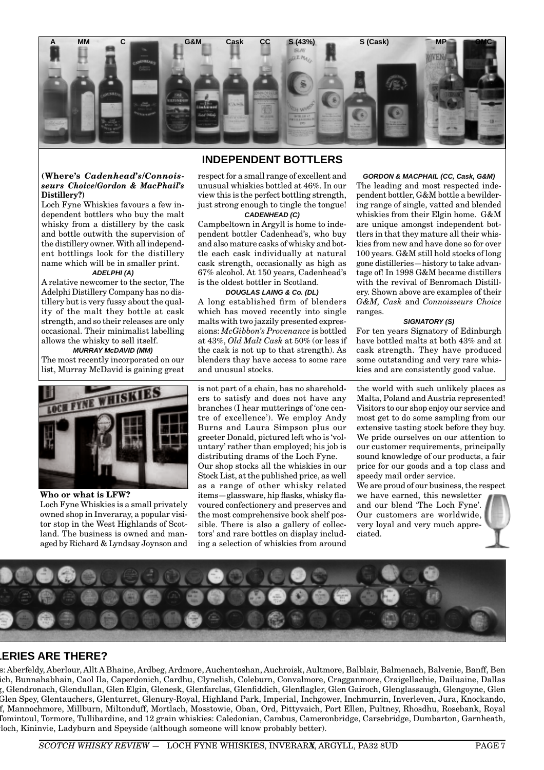

## **INDEPENDENT BOTTLERS**

#### **(Where's** *Cadenhead's/Connoisseurs Choice/Gordon & MacPhail's* **Distillery?)**

Loch Fyne Whiskies favours a few independent bottlers who buy the malt whisky from a distillery by the cask and bottle outwith the supervision of the distillery owner. With all independent bottlings look for the distillery name which will be in smaller print.

#### **ADELPHI (A)**

A relative newcomer to the sector, The Adelphi Distillery Company has no distillery but is very fussy about the quality of the malt they bottle at cask strength, and so their releases are only occasional. Their minimalist labelling allows the whisky to sell itself.

#### **MURRAY McDAVID (MM)** The most recently incorporated on our

list, Murray McDavid is gaining great



**Who or what is LFW?** Loch Fyne Whiskies is a small privately owned shop in Inveraray, a popular visitor stop in the West Highlands of Scotland. The business is owned and managed by Richard & Lyndsay Joynson and

respect for a small range of excellent and unusual whiskies bottled at 46%. In our view this is the perfect bottling strength, just strong enough to tingle the tongue! **CADENHEAD (C)**

Campbeltown in Argyll is home to independent bottler Cadenhead's, who buy and also mature casks of whisky and bottle each cask individually at natural cask strength, occasionally as high as 67% alcohol. At 150 years, Cadenhead's is the oldest bottler in Scotland.

#### **DOUGLAS LAING & Co. (DL)**

A long established firm of blenders which has moved recently into single malts with two jazzily presented expressions: *McGibbon's Provenance* is bottled at 43%, *Old Malt Cask* at 50% (or less if the cask is not up to that strength). As blenders thay have access to some rare and unusual stocks.

is not part of a chain, has no shareholders to satisfy and does not have any branches (I hear mutterings of 'one centre of excellence'). We employ Andy Burns and Laura Simpson plus our greeter Donald, pictured left who is 'voluntary' rather than employed; his job is distributing drams of the Loch Fyne. Our shop stocks all the whiskies in our Stock List, at the published price, as well as a range of other whisky related items—glassware, hip flasks, whisky flavoured confectionery and preserves and the most comprehensive book shelf possible. There is also a gallery of collectors' and rare bottles on display including a selection of whiskies from around

**GORDON & MACPHAIL (CC, Cask, G&M)** The leading and most respected independent bottler, G&M bottle a bewildering range of single, vatted and blended whiskies from their Elgin home. G&M are unique amongst independent bottlers in that they mature all their whiskies from new and have done so for over 100 years. G&M still hold stocks of long gone distilleries—history to take advantage of! In 1998 G&M became distillers with the revival of Benromach Distillery. Shown above are examples of their *G&M, Cask* and *Connoisseurs Choice* ranges.

#### **SIGNATORY (S)**

For ten years Signatory of Edinburgh have bottled malts at both 43% and at cask strength. They have produced some outstanding and very rare whiskies and are consistently good value.

the world with such unlikely places as Malta, Poland and Austria represented! Visitors to our shop enjoy our service and most get to do some sampling from our extensive tasting stock before they buy. We pride ourselves on our attention to our customer requirements, principally sound knowledge of our products, a fair price for our goods and a top class and speedy mail order service.

We are proud of our business, the respect

we have earned, this newsletter and our blend 'The Loch Fyne'. Our customers are worldwide, very loyal and very much appreciated.



## **LERIES ARE THERE?**

s: Aberfeldy, Aberlour, Allt A Bhaine, Ardbeg, Ardmore, Auchentoshan, Auchroisk, Aultmore, Balblair, Balmenach, Balvenie, Banff, Ben ich, Bunnahabhain, Caol Ila, Caperdonich, Cardhu, Clynelish, Coleburn, Convalmore, Cragganmore, Craigellachie, Dailuaine, Dallas g, Glendronach, Glendullan, Glen Elgin, Glenesk, Glenfarclas, Glenfiddich, Glenflagler, Glen Gairoch, Glenglassaugh, Glengoyne, Glen Glen Spey, Glentauchers, Glenturret, Glenury-Royal, Highland Park, Imperial, Inchgower, Inchmurrin, Inverleven, Jura, Knockando, ff, Mannochmore, Millburn, Miltonduff, Mortlach, Mosstowie, Oban, Ord, Pittyvaich, Port Ellen, Pultney, Rhosdhu, Rosebank, Royal Tomintoul, Tormore, Tullibardine, and 12 grain whiskies: Caledonian, Cambus, Cameronbridge, Carsebridge, Dumbarton, Garnheath, loch, Kininvie, Ladyburn and Speyside (although someone will know probably better).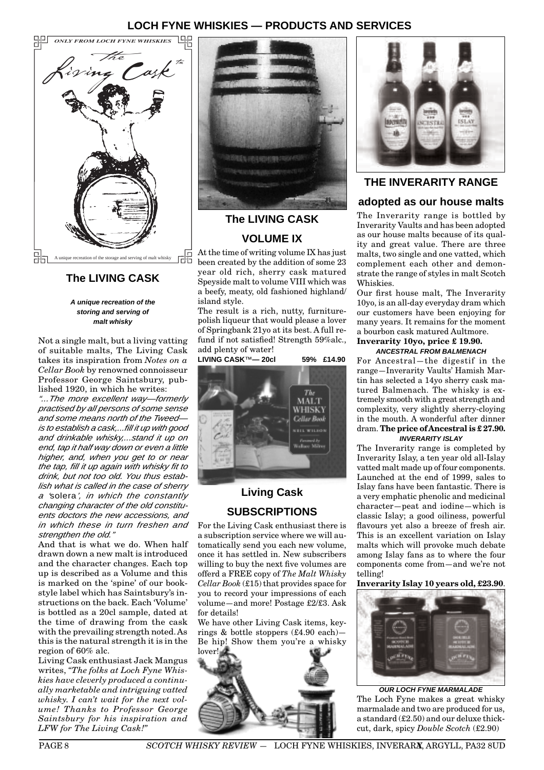## **LOCH FYNE WHISKIES — PRODUCTS AND SERVICES**



## **The LIVING CASK**

**A unique recreation of the storing and serving of malt whisky**

Not a single malt, but a living vatting of suitable malts, The Living Cask takes its inspiration from *Notes on a Cellar Book* by renowned connoisseur Professor George Saintsbury, published 1920, in which he writes:

"...The more excellent way—formerly practised by all persons of some sense and some means north of the Tweedis to establish a cask,...fill it up with good and drinkable whisky,...stand it up on end, tap it half way down or even a little higher, and, when you get to or near the tap, fill it up again with whisky fit to drink, but not too old. You thus establish what is called in the case of sherry a 'solera', in which the constantly changing character of the old constituents doctors the new accessions, and in which these in turn freshen and strengthen the old."

And that is what we do. When half drawn down a new malt is introduced and the character changes. Each top up is described as a Volume and this is marked on the 'spine' of our bookstyle label which has Saintsbury's instructions on the back. Each 'Volume' is bottled as a 20cl sample, dated at the time of drawing from the cask with the prevailing strength noted. As this is the natural strength it is in the region of 60% alc.

Living Cask enthusiast Jack Mangus writes, *"The folks at Loch Fyne Whiskies have cleverly produced a continually marketable and intriguing vatted whisky. I can't wait for the next volume! Thanks to Professor George Saintsbury for his inspiration and LFW for The Living Cask!"*



## **The LIVING CASK VOLUME IX**

At the time of writing volume IX has just been created by the addition of some 23 year old rich, sherry cask matured Speyside malt to volume VIII which was a beefy, meaty, old fashioned highland/ island style.

The result is a rich, nutty, furniturepolish liqueur that would please a lover of Springbank 21yo at its best. A full refund if not satisfied! Strength 59%alc., add plenty of water!

**LIVING CASK**™**— 20cl 59% £14.90**



## **Living Cask SUBSCRIPTIONS**

For the Living Cask enthusiast there is a subscription service where we will automatically send you each new volume, once it has settled in. New subscribers willing to buy the next five volumes are offerd a FREE copy of *The Malt Whisky Cellar Book* (£15) that provides space for you to record your impressions of each volume—and more! Postage £2/£3. Ask for details!

We have other Living Cask items, keyrings & bottle stoppers (£4.90 each)— Be hip! Show them you're a whisky





## **THE INVERARITY RANGE**

## **adopted as our house malts**

The Inverarity range is bottled by Inverarity Vaults and has been adopted as our house malts because of its quality and great value. There are three malts, two single and one vatted, which complement each other and demonstrate the range of styles in malt Scotch Whiskies.

Our first house malt, The Inverarity 10yo, is an all-day everyday dram which our customers have been enjoying for many years. It remains for the moment a bourbon cask matured Aultmore.

#### **Inverarity 10yo, price £ 19.90. ANCESTRAL FROM BALMENACH**

For Ancestral—the digestif in the range—Inverarity Vaults' Hamish Martin has selected a 14yo sherry cask matured Balmenach. The whisky is extremely smooth with a great strength and complexity, very slightly sherry-cloying in the mouth. A wonderful after dinner dram. **The price of Ancestral is £ 27.90.**

#### **INVERARITY ISLAY**

The Inverarity range is completed by Inverarity Islay, a ten year old all-Islay vatted malt made up of four components. Launched at the end of 1999, sales to Islay fans have been fantastic. There is a very emphatic phenolic and medicinal character—peat and iodine—which is classic Islay; a good oiliness, powerful flavours yet also a breeze of fresh air. This is an excellent variation on Islay malts which will provoke much debate among Islay fans as to where the four components come from—and we're not telling!

#### **Inverarity Islay 10 years old, £23.90**.



**OUR LOCH FYNE MARMALADE** The Loch Fyne makes a great whisky marmalade and two are produced for us, a standard (£2.50) and our deluxe thickcut, dark, spicy *Double Scotch* (£2.90)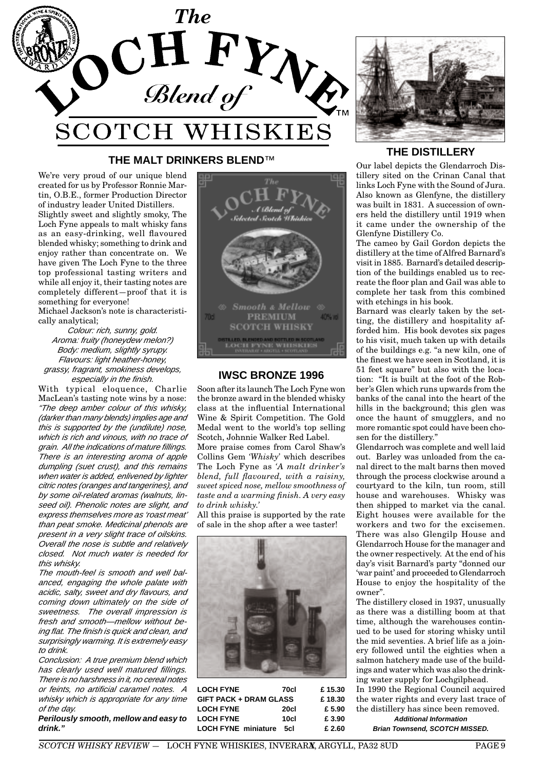

## **THE MALT DRINKERS BLEND**™

We're very proud of our unique blend created for us by Professor Ronnie Martin, O.B.E., former Production Director of industry leader United Distillers. Slightly sweet and slightly smoky, The Loch Fyne appeals to malt whisky fans as an easy-drinking, well flavoured blended whisky; something to drink and enjoy rather than concentrate on. We have given The Loch Fyne to the three top professional tasting writers and while all enjoy it, their tasting notes are completely different—proof that it is something for everyone!

Michael Jackson's note is characteristically analytical;

Colour: rich, sunny, gold. Aroma: fruity (honeydew melon?) Body: medium, slightly syrupy. Flavours: light heather-honey, grassy, fragrant, smokiness develops, especially in the finish.

With typical eloquence, Charlie MacLean's tasting note wins by a nose: "The deep amber colour of this whisky, (darker than many blends) implies age and this is supported by the (undilute) nose, which is rich and vinous, with no trace of grain. All the indications of mature fillings. There is an interesting aroma of apple dumpling (suet crust), and this remains when water is added, enlivened by lighter citric notes (oranges and tangerines), and by some oil-related aromas (walnuts, linseed oil). Phenolic notes are slight, and express themselves more as 'roast meat' than peat smoke. Medicinal phenols are present in a very slight trace of oilskins. Overall the nose is subtle and relatively closed. Not much water is needed for this whisky.

The mouth-feel is smooth and well balanced, engaging the whole palate with acidic, salty, sweet and dry flavours, and coming down ultimately on the side of sweetness. The overall impression is fresh and smooth—mellow without being flat. The finish is quick and clean, and surprisingly warming. It is extremely easy to drink.

Conclusion: A true premium blend which has clearly used well matured fillings. There is no harshness in it, no cereal notes or feints, no artificial caramel notes. A whisky which is appropriate for any time of the day.

**Perilously smooth, mellow and easy to drink."**



## **IWSC BRONZE 1996**

Soon after its launch The Loch Fyne won the bronze award in the blended whisky class at the influential International Wine & Spirit Competition. The Gold Medal went to the world's top selling Scotch, Johnnie Walker Red Label.

More praise comes from Carol Shaw's Collins Gem *'Whisky'* which describes The Loch Fyne as *'A malt drinker's blend, full flavoured, with a raisiny, sweet spiced nose, mellow smoothness of taste and a warming finish. A very easy to drink whisky.'*

All this praise is supported by the rate of sale in the shop after a wee taster!



| <b>LOCH FYNE</b>              | 70cl   | £15.30 |
|-------------------------------|--------|--------|
| <b>GIFT PACK + DRAM GLASS</b> | £18.30 |        |
| <b>LOCH FYNE</b>              | 20cl   | £ 5.90 |
| <b>LOCH FYNE</b>              | 10cl   | £ 3.90 |
| <b>LOCH FYNE miniature</b>    | 5cl    | £ 2.60 |



## **THE DISTILLERY**

Our label depicts the Glendarroch Distillery sited on the Crinan Canal that links Loch Fyne with the Sound of Jura. Also known as Glenfyne, the distillery was built in 1831. A succession of owners held the distillery until 1919 when it came under the ownership of the Glenfyne Distillery Co.

The cameo by Gail Gordon depicts the distillery at the time of Alfred Barnard's visit in 1885. Barnard's detailed description of the buildings enabled us to recreate the floor plan and Gail was able to complete her task from this combined with etchings in his book.

Barnard was clearly taken by the setting, the distillery and hospitality afforded him. His book devotes six pages to his visit, much taken up with details of the buildings e.g. "a new kiln, one of the finest we have seen in Scotland, it is 51 feet square" but also with the location: "It is built at the foot of the Robber's Glen which runs upwards from the banks of the canal into the heart of the hills in the background; this glen was once the haunt of smugglers, and no more romantic spot could have been chosen for the distillery."

Glendarroch was complete and well laid out. Barley was unloaded from the canal direct to the malt barns then moved through the process clockwise around a courtyard to the kiln, tun room, still house and warehouses. Whisky was then shipped to market via the canal. Eight houses were available for the workers and two for the excisemen. There was also Glengilp House and Glendarroch House for the manager and the owner respectively. At the end of his day's visit Barnard's party "donned our 'war paint' and proceeded to Glendarroch House to enjoy the hospitality of the owner".

The distillery closed in 1937, unusually as there was a distilling boom at that time, although the warehouses continued to be used for storing whisky until the mid seventies. A brief life as a joinery followed until the eighties when a salmon hatchery made use of the buildings and water which was also the drinking water supply for Lochgilphead. In 1990 the Regional Council acquired

the water rights and every last trace of the distillery has since been removed. **Additional Information**

**Brian Townsend, SCOTCH MISSED.**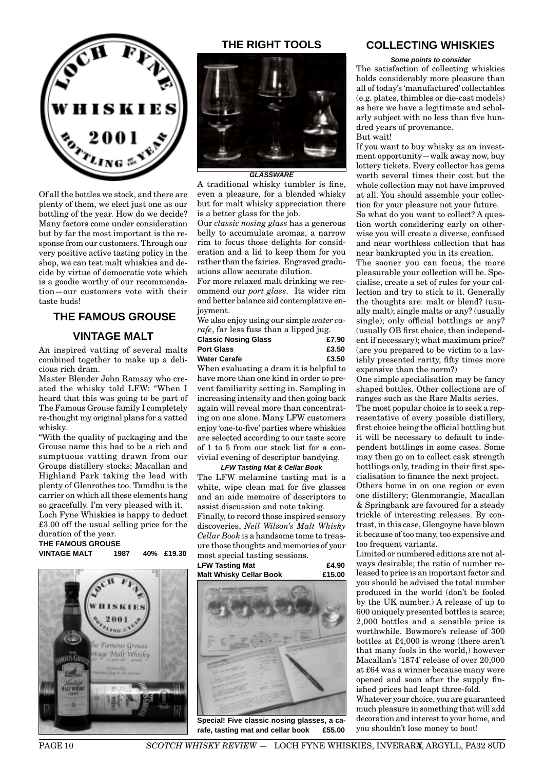

Of all the bottles we stock, and there are plenty of them, we elect just one as our bottling of the year. How do we decide? Many factors come under consideration but by far the most important is the response from our customers. Through our very positive active tasting policy in the shop, we can test malt whiskies and decide by virtue of democratic vote which is a goodie worthy of our recommendation—our customers vote with their taste buds!

## **THE FAMOUS GROUSE**

## **VINTAGE MALT**

An inspired vatting of several malts combined together to make up a delicious rich dram.

Master Blender John Ramsay who created the whisky told LFW: "When I heard that this was going to be part of The Famous Grouse family I completely re-thought my original plans for a vatted whisky.

"With the quality of packaging and the Grouse name this had to be a rich and sumptuous vatting drawn from our Groups distillery stocks; Macallan and Highland Park taking the lead with plenty of Glenrothes too. Tamdhu is the carrier on which all these elements hang so gracefully. I'm very pleased with it. Loch Fyne Whiskies is happy to deduct £3.00 off the usual selling price for the

#### duration of the year. **THE FAMOUS GROUSE**

**VINTAGE MALT 1987 40% £19.30**



## **THE RIGHT TOOLS**



### **GLASSWARE**

A traditional whisky tumbler is fine, even a pleasure, for a blended whisky but for malt whisky appreciation there is a better glass for the job.

Our *classic nosing glass* has a generous belly to accumulate aromas, a narrow rim to focus those delights for consideration and a lid to keep them for you rather than the fairies. Engraved graduations allow accurate dilution.

For more relaxed malt drinking we recommend our *port glass*. Its wider rim and better balance aid contemplative enjoyment.

We also enjoy using our simple *water carafe*, far less fuss than a lipped jug.

| <b>Classic Nosing Glass</b> |  |  |  | £7.90             |
|-----------------------------|--|--|--|-------------------|
| <b>Port Glass</b>           |  |  |  | £3.50             |
| <b>Water Carafe</b>         |  |  |  | £3.50             |
|                             |  |  |  | $\cdots$ $\cdots$ |

When evaluating a dram it is helpful to have more than one kind in order to prevent familiarity setting in. Sampling in increasing intensity and then going back again will reveal more than concentrating on one alone. Many LFW customers enjoy 'one-to-five' parties where whiskies are selected according to our taste score of 1 to 5 from our stock list for a convivial evening of descriptor bandying.

#### **LFW Tasting Mat & Cellar Book**

The LFW melamine tasting mat is a white, wipe clean mat for five glasses and an aide memoire of descriptors to assist discussion and note taking.

Finally, to record those inspired sensory discoveries, *Neil Wilson's Malt Whisky Cellar Book* is a handsome tome to treasure those thoughts and memories of your most special tasting sessions.



**Special! Five classic nosing glasses, a carafe, tasting mat and cellar book £55.00**

## **COLLECTING WHISKIES**

**Some points to consider** The satisfaction of collecting whiskies holds considerably more pleasure than all of today's 'manufactured' collectables (e.g. plates, thimbles or die-cast models) as here we have a legitimate and scholarly subject with no less than five hundred years of provenance.

#### But wait!

If you want to buy whisky as an investment opportunity—walk away now, buy lottery tickets. Every collector has gems worth several times their cost but the whole collection may not have improved at all. You should assemble your collection for your pleasure not your future. So what do you want to collect? A ques-

tion worth considering early on otherwise you will create a diverse, confused and near worthless collection that has near bankrupted you in its creation.

The sooner you can focus, the more pleasurable your collection will be. Specialise, create a set of rules for your collection and try to stick to it. Generally the thoughts are: malt or blend? (usually malt); single malts or any? (usually single); only official bottlings or any? (usually OB first choice, then independent if necessary); what maximum price? (are you prepared to be victim to a lavishly presented rarity, fifty times more expensive than the norm?)

One simple specialisation may be fancy shaped bottles. Other collections are of ranges such as the Rare Malts series.

The most popular choice is to seek a representative of every possible distillery, first choice being the official bottling but it will be necessary to default to independent bottlings in some cases. Some may then go on to collect cask strength bottlings only, trading in their first specialisation to finance the next project.

Others home in on one region or even one distillery; Glenmorangie, Macallan & Springbank are favoured for a steady trickle of interesting releases. By contrast, in this case, Glengoyne have blown it because of too many, too expensive and too frequent variants.

Limited or numbered editions are not always desirable; the ratio of number released to price is an important factor and you should be advised the total number produced in the world (don't be fooled by the UK number.) A release of up to 600 uniquely presented bottles is scarce; 2,000 bottles and a sensible price is worthwhile. Bowmore's release of 300 bottles at £4,000 is wrong (there aren't that many fools in the world,) however Macallan's '1874' release of over 20,000 at £64 was a winner because many were opened and soon after the supply finished prices had leapt three-fold.

Whatever your choice, you are guaranteed much pleasure in something that will add decoration and interest to your home, and you shouldn't lose money to boot!

PAGE 10 *SCOTCH WHISKY REVIEW* - LOCH FYNE WHISKIES, INVERARA, ARGYLL, PA32 8UD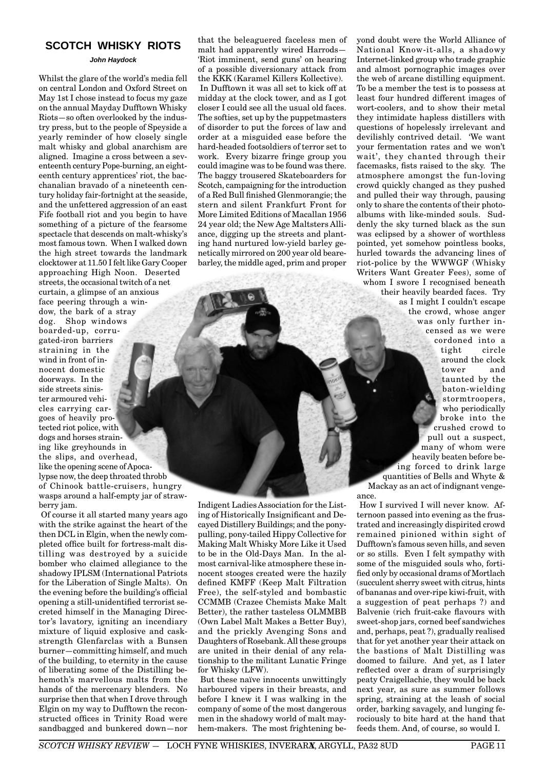## **SCOTCH WHISKY RIOTS**

#### **John Haydock**

Whilst the glare of the world's media fell on central London and Oxford Street on May 1st I chose instead to focus my gaze on the annual Mayday Dufftown Whisky Riots—so often overlooked by the industry press, but to the people of Speyside a yearly reminder of how closely single malt whisky and global anarchism are aligned. Imagine a cross between a seventeenth century Pope-burning, an eighteenth century apprentices' riot, the bacchanalian bravado of a nineteenth century holiday fair-fortnight at the seaside, and the unfettered aggression of an east Fife football riot and you begin to have something of a picture of the fearsome spectacle that descends on malt-whisky's most famous town. When I walked down the high street towards the landmark clocktower at 11.50 I felt like Gary Cooper approaching High Noon. Deserted streets, the occasional twitch of a net curtain, a glimpse of an anxious face peering through a window, the bark of a stray dog. Shop windows boarded-up, corrugated-iron barriers straining in the wind in front of innocent domestic doorways. In the side streets sinister armoured vehicles carrying cargoes of heavily protected riot police, with dogs and horses straining like greyhounds in the slips, and overhead, like the opening scene of Apocalypse now, the deep throated throbb of Chinook battle-cruisers, hungry

wasps around a half-empty jar of strawberry jam. Of course it all started many years ago with the strike against the heart of the then DCL in Elgin, when the newly completed office built for fortress-malt distilling was destroyed by a suicide bomber who claimed allegiance to the shadowy IPLSM (International Patriots for the Liberation of Single Malts). On the evening before the building's official opening a still-unidentified terrorist secreted himself in the Managing Director's lavatory, igniting an incendiary mixture of liquid explosive and caskstrength Glenfarclas with a Bunsen burner—committing himself, and much of the building, to eternity in the cause of liberating some of the Distilling behemoth's marvellous malts from the hands of the mercenary blenders. No surprise then that when I drove through

Elgin on my way to Dufftown the reconstructed offices in Trinity Road were sandbagged and bunkered down—nor that the beleaguered faceless men of malt had apparently wired Harrods— 'Riot imminent, send guns' on hearing of a possible diversionary attack from the KKK (Karamel Killers Kollective). In Dufftown it was all set to kick off at midday at the clock tower, and as I got closer I could see all the usual old faces. The softies, set up by the puppetmasters of disorder to put the forces of law and order at a misguided ease before the hard-headed footsoldiers of terror set to work. Every bizarre fringe group you could imagine was to be found was there. The baggy trousered Skateboarders for Scotch, campaigning for the introduction of a Red Bull finished Glenmorangie; the stern and silent Frankfurt Front for More Limited Editions of Macallan 1956 24 year old; the New Age Maltsters Alliance, digging up the streets and planting hand nurtured low-yield barley genetically mirrored on 200 year old bearebarley, the middle aged, prim and proper

Indigent Ladies Association for the Listing of Historically Insignificant and Decayed Distillery Buildings; and the ponypulling, pony-tailed Hippy Collective for Making Malt Whisky More Like it Used to be in the Old-Days Man. In the almost carnival-like atmosphere these innocent stooges created were the hazily defined KMFF (Keep Malt Filtration Free), the self-styled and bombastic CCMMB (Crazee Chemists Make Malt Better), the rather tasteless OLMMBB (Own Label Malt Makes a Better Buy), and the prickly Avenging Sons and Daughters of Rosebank. All these groups are united in their denial of any relationship to the militant Lunatic Fringe for Whisky (LFW).

But these naïve innocents unwittingly harboured vipers in their breasts, and before I knew it I was walking in the company of some of the most dangerous men in the shadowy world of malt mayhem-makers. The most frightening beyond doubt were the World Alliance of National Know-it-alls, a shadowy Internet-linked group who trade graphic and almost pornographic images over the web of arcane distilling equipment. To be a member the test is to possess at least four hundred different images of wort-coolers, and to show their metal they intimidate hapless distillers with questions of hopelessly irrelevant and devilishly contrived detail. 'We want your fermentation rates and we won't wait', they chanted through their facemasks, fists raised to the sky. The atmosphere amongst the fun-loving crowd quickly changed as they pushed and pulled their way through, pausing only to share the contents of their photoalbums with like-minded souls. Suddenly the sky turned black as the sun was eclipsed by a shower of worthless pointed, yet somehow pointless books, hurled towards the advancing lines of riot-police by the WWWGF (Whisky Writers Want Greater Fees), some of whom I swore I recognised beneath their heavily bearded faces. Try as I might I couldn't escape the crowd, whose anger was only further incensed as we were cordoned into a tight circle

around the clock tower and taunted by the baton-wielding stormtroopers, who periodically broke into the crushed crowd to pull out a suspect, many of whom were heavily beaten before being forced to drink large quantities of Bells and Whyte &

Mackay as an act of indignant vengeance.

How I survived I will never know. Afternoon passed into evening as the frustrated and increasingly dispirited crowd remained pinioned within sight of Dufftown's famous seven hills, and seven or so stills. Even I felt sympathy with some of the misguided souls who, fortified only by occasional drams of Mortlach (succulent sherry sweet with citrus, hints of bananas and over-ripe kiwi-fruit, with a suggestion of peat perhaps ?) and Balvenie (rich fruit-cake flavours with sweet-shop jars, corned beef sandwiches and, perhaps, peat ?), gradually realised that for yet another year their attack on the bastions of Malt Distilling was doomed to failure. And yet, as I later reflected over a dram of surprisingly peaty Craigellachie, they would be back next year, as sure as summer follows spring, straining at the leash of social order, barking savagely, and lunging ferociously to bite hard at the hand that feeds them. And, of course, so would I.